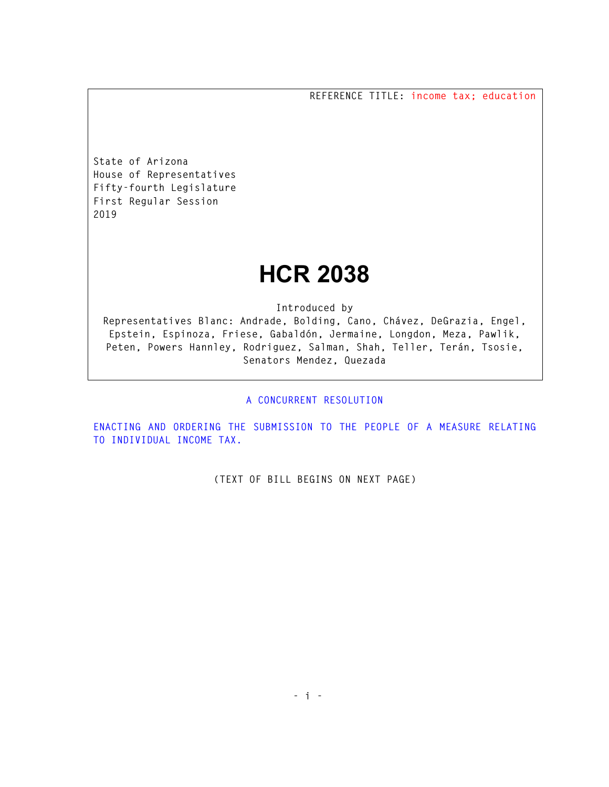**REFERENCE TITLE: income tax; education** 

**State of Arizona House of Representatives Fifty-fourth Legislature First Regular Session 2019** 

## **HCR 2038**

**Introduced by** 

**Representatives Blanc: Andrade, Bolding, Cano, Chávez, DeGrazia, Engel, Epstein, Espinoza, Friese, Gabaldón, Jermaine, Longdon, Meza, Pawlik, Peten, Powers Hannley, Rodriguez, Salman, Shah, Teller, Terán, Tsosie, Senators Mendez, Quezada** 

## **A CONCURRENT RESOLUTION**

**ENACTING AND ORDERING THE SUBMISSION TO THE PEOPLE OF A MEASURE RELATING TO INDIVIDUAL INCOME TAX.** 

**(TEXT OF BILL BEGINS ON NEXT PAGE)**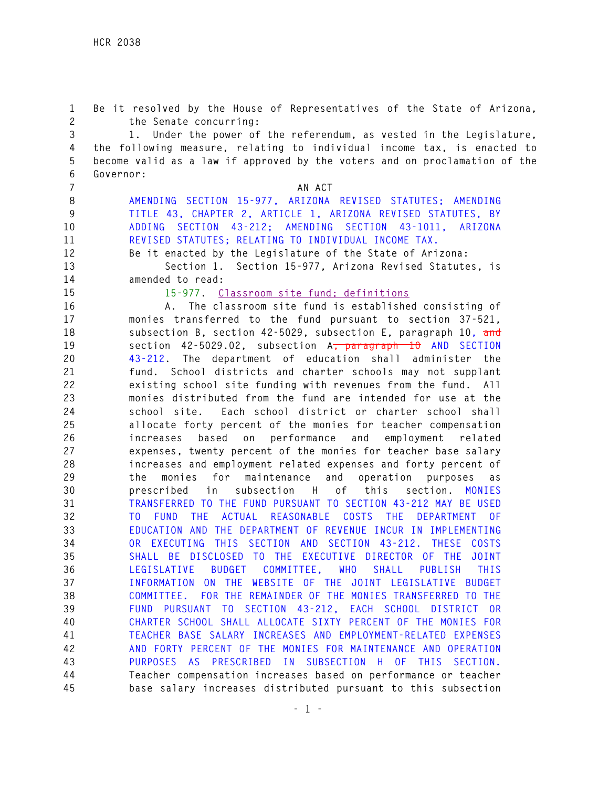**1 Be it resolved by the House of Representatives of the State of Arizona, 2 the Senate concurring: 3 1. Under the power of the referendum, as vested in the Legislature, 4 the following measure, relating to individual income tax, is enacted to 5 become valid as a law if approved by the voters and on proclamation of the 6 Governor: 7 AN ACT 8 AMENDING SECTION 15-977, ARIZONA REVISED STATUTES; AMENDING 9 TITLE 43, CHAPTER 2, ARTICLE 1, ARIZONA REVISED STATUTES, BY 10 ADDING SECTION 43-212; AMENDING SECTION 43-1011, ARIZONA 11 REVISED STATUTES; RELATING TO INDIVIDUAL INCOME TAX. 12 Be it enacted by the Legislature of the State of Arizona: 13 Section 1. Section 15-977, Arizona Revised Statutes, is 14 amended to read: 15 15-977. Classroom site fund; definitions 16 A. The classroom site fund is established consisting of 17 monies transferred to the fund pursuant to section 37-521, 18 subsection B, section 42-5029, subsection E, paragraph 10, and 19 section 42-5029.02, subsection A, paragraph 10 AND SECTION 20 43-212. The department of education shall administer the 21 fund. School districts and charter schools may not supplant 22 existing school site funding with revenues from the fund. All 23 monies distributed from the fund are intended for use at the 24 school site. Each school district or charter school shall 25 allocate forty percent of the monies for teacher compensation 26 increases based on performance and employment related 27 expenses, twenty percent of the monies for teacher base salary 28 increases and employment related expenses and forty percent of 29 the monies for maintenance and operation purposes as 30 prescribed in subsection H of this section. MONIES 31 TRANSFERRED TO THE FUND PURSUANT TO SECTION 43-212 MAY BE USED 32 TO FUND THE ACTUAL REASONABLE COSTS THE DEPARTMENT OF 33 EDUCATION AND THE DEPARTMENT OF REVENUE INCUR IN IMPLEMENTING 34 OR EXECUTING THIS SECTION AND SECTION 43-212. THESE COSTS 35 SHALL BE DISCLOSED TO THE EXECUTIVE DIRECTOR OF THE JOINT 36 LEGISLATIVE BUDGET COMMITTEE, WHO SHALL PUBLISH THIS 37 INFORMATION ON THE WEBSITE OF THE JOINT LEGISLATIVE BUDGET 38 COMMITTEE. FOR THE REMAINDER OF THE MONIES TRANSFERRED TO THE 39 FUND PURSUANT TO SECTION 43-212, EACH SCHOOL DISTRICT OR 40 CHARTER SCHOOL SHALL ALLOCATE SIXTY PERCENT OF THE MONIES FOR 41 TEACHER BASE SALARY INCREASES AND EMPLOYMENT-RELATED EXPENSES 42 AND FORTY PERCENT OF THE MONIES FOR MAINTENANCE AND OPERATION 43 PURPOSES AS PRESCRIBED IN SUBSECTION H OF THIS SECTION. 44 Teacher compensation increases based on performance or teacher 45 base salary increases distributed pursuant to this subsection**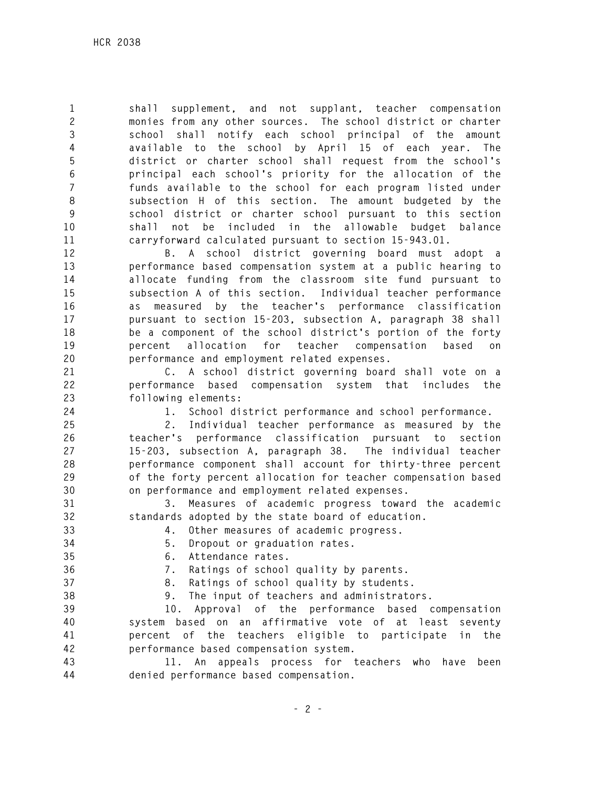**1 shall supplement, and not supplant, teacher compensation 2 monies from any other sources. The school district or charter 3 school shall notify each school principal of the amount 4 available to the school by April 15 of each year. The 5 district or charter school shall request from the school's 6 principal each school's priority for the allocation of the 7 funds available to the school for each program listed under 8 subsection H of this section. The amount budgeted by the 9 school district or charter school pursuant to this section 10 shall not be included in the allowable budget balance 11 carryforward calculated pursuant to section 15-943.01.** 

**12 B. A school district governing board must adopt a 13 performance based compensation system at a public hearing to 14 allocate funding from the classroom site fund pursuant to 15 subsection A of this section. Individual teacher performance 16 as measured by the teacher's performance classification 17 pursuant to section 15-203, subsection A, paragraph 38 shall 18 be a component of the school district's portion of the forty 19 percent allocation for teacher compensation based on 20 performance and employment related expenses.** 

**21 C. A school district governing board shall vote on a 22 performance based compensation system that includes the 23 following elements:** 

**24 1. School district performance and school performance.** 

**25 2. Individual teacher performance as measured by the 26 teacher's performance classification pursuant to section 27 15-203, subsection A, paragraph 38. The individual teacher 28 performance component shall account for thirty-three percent 29 of the forty percent allocation for teacher compensation based 30 on performance and employment related expenses.** 

**31 3. Measures of academic progress toward the academic 32 standards adopted by the state board of education.** 

**33 4. Other measures of academic progress.** 

- **34 5. Dropout or graduation rates.**
- **35 6. Attendance rates.**
- **36 7. Ratings of school quality by parents.**
- **37 8. Ratings of school quality by students.**
- **38 9. The input of teachers and administrators.**

**39 10. Approval of the performance based compensation 40 system based on an affirmative vote of at least seventy 41 percent of the teachers eligible to participate in the 42 performance based compensation system.** 

**43 11. An appeals process for teachers who have been 44 denied performance based compensation.**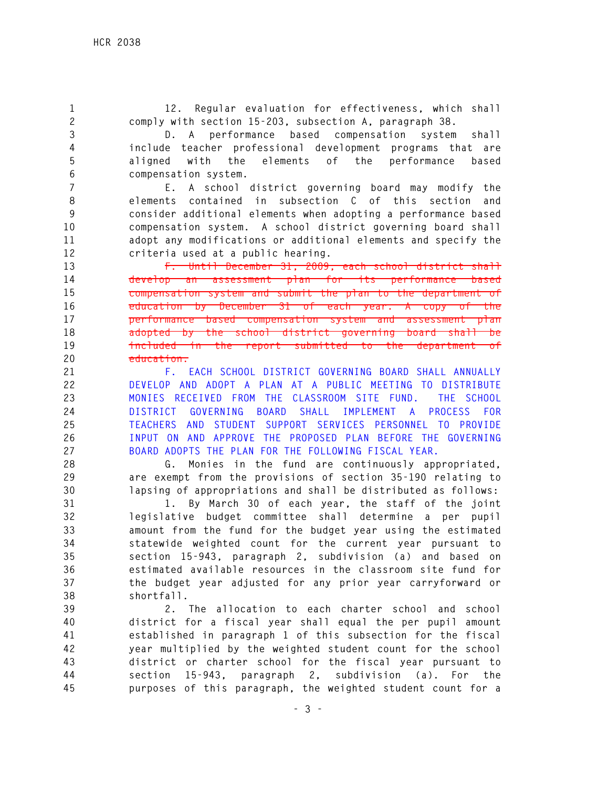**1 12. Regular evaluation for effectiveness, which shall 2 comply with section 15-203, subsection A, paragraph 38. 3 D. A performance based compensation system shall 4 include teacher professional development programs that are 5 aligned with the elements of the performance based 6 compensation system. 7 E. A school district governing board may modify the 8 elements contained in subsection C of this section and 9 consider additional elements when adopting a performance based 10 compensation system. A school district governing board shall 11 adopt any modifications or additional elements and specify the 12 criteria used at a public hearing. 13 F. Until December 31, 2009, each school district shall 14 develop an assessment plan for its performance based 15 compensation system and submit the plan to the department of 16 education by December 31 of each year. A copy of the 17 performance based compensation system and assessment plan 18 adopted by the school district governing board shall be 19 included in the report submitted to the department of 20 education. 21 F. EACH SCHOOL DISTRICT GOVERNING BOARD SHALL ANNUALLY 22 DEVELOP AND ADOPT A PLAN AT A PUBLIC MEETING TO DISTRIBUTE 23 MONIES RECEIVED FROM THE CLASSROOM SITE FUND. THE SCHOOL 24 DISTRICT GOVERNING BOARD SHALL IMPLEMENT A PROCESS FOR 25 TEACHERS AND STUDENT SUPPORT SERVICES PERSONNEL TO PROVIDE 26 INPUT ON AND APPROVE THE PROPOSED PLAN BEFORE THE GOVERNING 27 BOARD ADOPTS THE PLAN FOR THE FOLLOWING FISCAL YEAR. 28 G. Monies in the fund are continuously appropriated, 29 are exempt from the provisions of section 35-190 relating to 30 lapsing of appropriations and shall be distributed as follows: 31 1. By March 30 of each year, the staff of the joint 32 legislative budget committee shall determine a per pupil 33 amount from the fund for the budget year using the estimated 34 statewide weighted count for the current year pursuant to 35 section 15-943, paragraph 2, subdivision (a) and based on 36 estimated available resources in the classroom site fund for 37 the budget year adjusted for any prior year carryforward or 38 shortfall. 39 2. The allocation to each charter school and school 40 district for a fiscal year shall equal the per pupil amount 41 established in paragraph 1 of this subsection for the fiscal 42 year multiplied by the weighted student count for the school 43 district or charter school for the fiscal year pursuant to 44 section 15-943, paragraph 2, subdivision (a). For the 45 purposes of this paragraph, the weighted student count for a**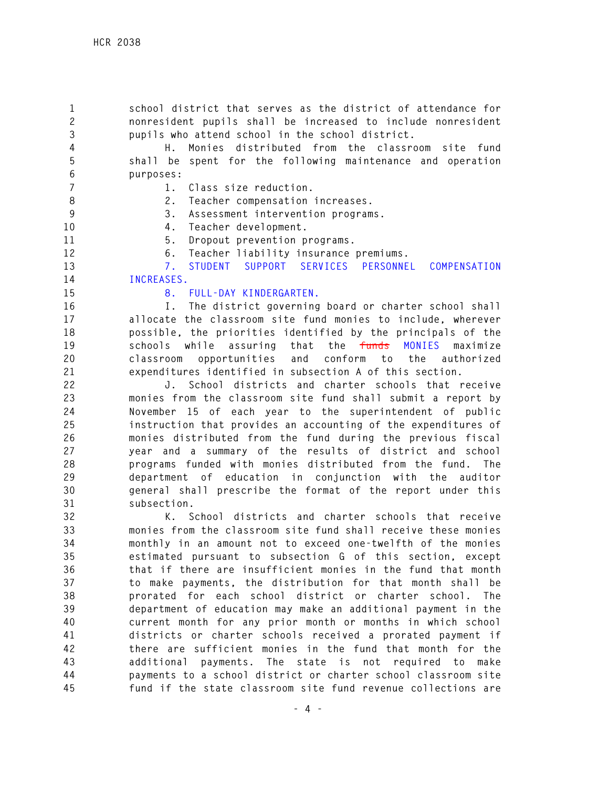**1 school district that serves as the district of attendance for 2 nonresident pupils shall be increased to include nonresident 3 pupils who attend school in the school district.** 

**4 H. Monies distributed from the classroom site fund 5 shall be spent for the following maintenance and operation 6 purposes:** 

- **7 1. Class size reduction.** 
	-
- **8 2. Teacher compensation increases.**
- **9 3. Assessment intervention programs.**
- **10 4. Teacher development.**
- **11 5. Dropout prevention programs.**
- **12 6. Teacher liability insurance premiums.**

**13 7. STUDENT SUPPORT SERVICES PERSONNEL COMPENSATION 14 INCREASES.** 

## **15 8. FULL-DAY KINDERGARTEN.**

**16 I. The district governing board or charter school shall 17 allocate the classroom site fund monies to include, wherever 18 possible, the priorities identified by the principals of the 19 schools while assuring that the funds MONIES maximize 20 classroom opportunities and conform to the authorized 21 expenditures identified in subsection A of this section.** 

**22 J. School districts and charter schools that receive 23 monies from the classroom site fund shall submit a report by 24 November 15 of each year to the superintendent of public 25 instruction that provides an accounting of the expenditures of 26 monies distributed from the fund during the previous fiscal 27 year and a summary of the results of district and school 28 programs funded with monies distributed from the fund. The 29 department of education in conjunction with the auditor 30 general shall prescribe the format of the report under this 31 subsection.** 

**32 K. School districts and charter schools that receive 33 monies from the classroom site fund shall receive these monies 34 monthly in an amount not to exceed one-twelfth of the monies 35 estimated pursuant to subsection G of this section, except 36 that if there are insufficient monies in the fund that month 37 to make payments, the distribution for that month shall be 38 prorated for each school district or charter school. The 39 department of education may make an additional payment in the 40 current month for any prior month or months in which school 41 districts or charter schools received a prorated payment if 42 there are sufficient monies in the fund that month for the 43 additional payments. The state is not required to make 44 payments to a school district or charter school classroom site 45 fund if the state classroom site fund revenue collections are**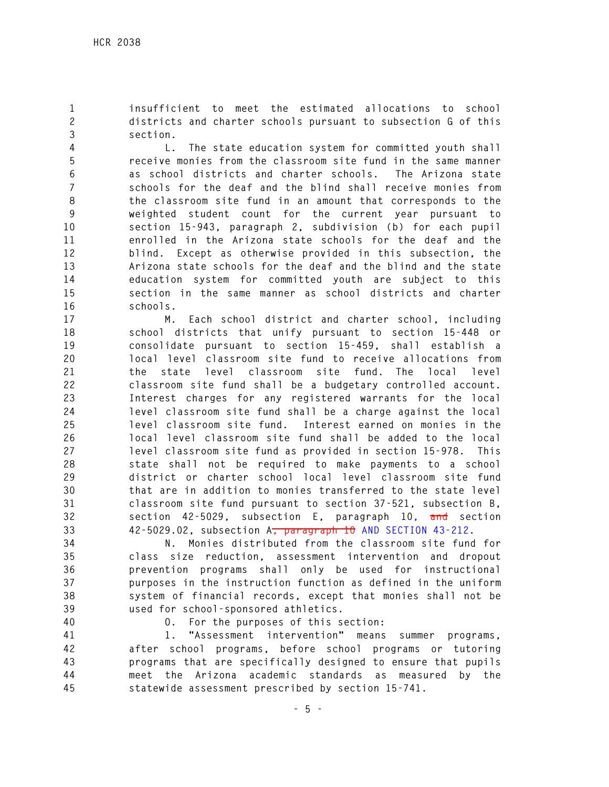**1 insufficient to meet the estimated allocations to school 2 districts and charter schools pursuant to subsection G of this 3 section.** 

**4 L. The state education system for committed youth shall 5 receive monies from the classroom site fund in the same manner 6 as school districts and charter schools. The Arizona state 7 schools for the deaf and the blind shall receive monies from 8 the classroom site fund in an amount that corresponds to the 9 weighted student count for the current year pursuant to 10 section 15-943, paragraph 2, subdivision (b) for each pupil 11 enrolled in the Arizona state schools for the deaf and the 12 blind. Except as otherwise provided in this subsection, the 13 Arizona state schools for the deaf and the blind and the state 14 education system for committed youth are subject to this 15 section in the same manner as school districts and charter 16 schools.** 

**17 M. Each school district and charter school, including 18 school districts that unify pursuant to section 15-448 or 19 consolidate pursuant to section 15-459, shall establish a 20 local level classroom site fund to receive allocations from 21 the state level classroom site fund. The local level 22 classroom site fund shall be a budgetary controlled account. 23 Interest charges for any registered warrants for the local 24 level classroom site fund shall be a charge against the local 25 level classroom site fund. Interest earned on monies in the 26 local level classroom site fund shall be added to the local 27 level classroom site fund as provided in section 15-978. This 28 state shall not be required to make payments to a school 29 district or charter school local level classroom site fund 30 that are in addition to monies transferred to the state level 31 classroom site fund pursuant to section 37-521, subsection B, 32 section 42-5029, subsection E, paragraph 10, and section 33 42-5029.02, subsection A, paragraph 10 AND SECTION 43-212.** 

**34 N. Monies distributed from the classroom site fund for 35 class size reduction, assessment intervention and dropout 36 prevention programs shall only be used for instructional 37 purposes in the instruction function as defined in the uniform 38 system of financial records, except that monies shall not be 39 used for school-sponsored athletics.** 

**40 O. For the purposes of this section:** 

**41 1. "Assessment intervention" means summer programs, 42 after school programs, before school programs or tutoring 43 programs that are specifically designed to ensure that pupils 44 meet the Arizona academic standards as measured by the 45 statewide assessment prescribed by section 15-741.**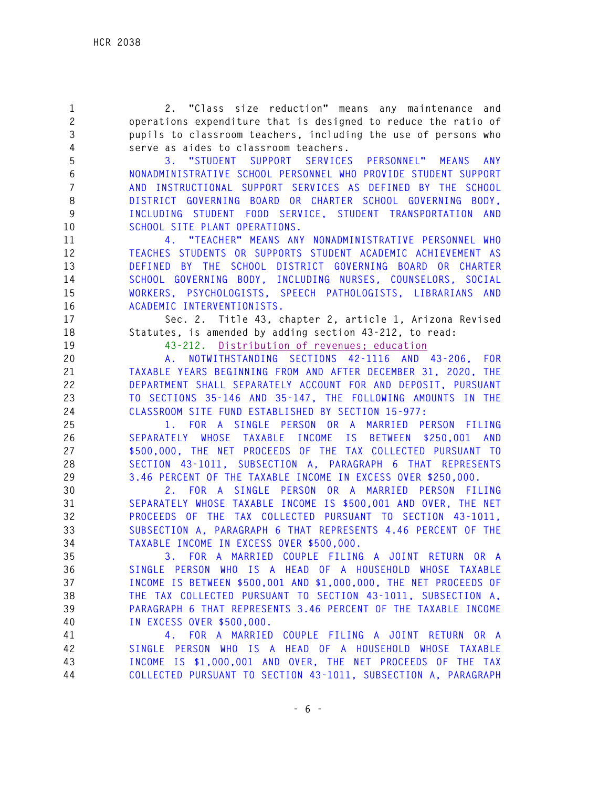**1 2. "Class size reduction" means any maintenance and 2 operations expenditure that is designed to reduce the ratio of 3 pupils to classroom teachers, including the use of persons who 4 serve as aides to classroom teachers. 5 3. "STUDENT SUPPORT SERVICES PERSONNEL" MEANS ANY 6 NONADMINISTRATIVE SCHOOL PERSONNEL WHO PROVIDE STUDENT SUPPORT 7 AND INSTRUCTIONAL SUPPORT SERVICES AS DEFINED BY THE SCHOOL 8 DISTRICT GOVERNING BOARD OR CHARTER SCHOOL GOVERNING BODY, 9 INCLUDING STUDENT FOOD SERVICE, STUDENT TRANSPORTATION AND 10 SCHOOL SITE PLANT OPERATIONS. 11 4. "TEACHER" MEANS ANY NONADMINISTRATIVE PERSONNEL WHO 12 TEACHES STUDENTS OR SUPPORTS STUDENT ACADEMIC ACHIEVEMENT AS 13 DEFINED BY THE SCHOOL DISTRICT GOVERNING BOARD OR CHARTER 14 SCHOOL GOVERNING BODY, INCLUDING NURSES, COUNSELORS, SOCIAL 15 WORKERS, PSYCHOLOGISTS, SPEECH PATHOLOGISTS, LIBRARIANS AND 16 ACADEMIC INTERVENTIONISTS. 17 Sec. 2. Title 43, chapter 2, article 1, Arizona Revised 18 Statutes, is amended by adding section 43-212, to read: 19 43-212. Distribution of revenues; education 20 A. NOTWITHSTANDING SECTIONS 42-1116 AND 43-206, FOR 21 TAXABLE YEARS BEGINNING FROM AND AFTER DECEMBER 31, 2020, THE 22 DEPARTMENT SHALL SEPARATELY ACCOUNT FOR AND DEPOSIT, PURSUANT 23 TO SECTIONS 35-146 AND 35-147, THE FOLLOWING AMOUNTS IN THE 24 CLASSROOM SITE FUND ESTABLISHED BY SECTION 15-977: 25 1. FOR A SINGLE PERSON OR A MARRIED PERSON FILING 26 SEPARATELY WHOSE TAXABLE INCOME IS BETWEEN \$250,001 AND 27 \$500,000, THE NET PROCEEDS OF THE TAX COLLECTED PURSUANT TO 28 SECTION 43-1011, SUBSECTION A, PARAGRAPH 6 THAT REPRESENTS 29 3.46 PERCENT OF THE TAXABLE INCOME IN EXCESS OVER \$250,000. 30 2. FOR A SINGLE PERSON OR A MARRIED PERSON FILING 31 SEPARATELY WHOSE TAXABLE INCOME IS \$500,001 AND OVER, THE NET 32 PROCEEDS OF THE TAX COLLECTED PURSUANT TO SECTION 43-1011, 33 SUBSECTION A, PARAGRAPH 6 THAT REPRESENTS 4.46 PERCENT OF THE 34 TAXABLE INCOME IN EXCESS OVER \$500,000. 35 3. FOR A MARRIED COUPLE FILING A JOINT RETURN OR A 36 SINGLE PERSON WHO IS A HEAD OF A HOUSEHOLD WHOSE TAXABLE 37 INCOME IS BETWEEN \$500,001 AND \$1,000,000, THE NET PROCEEDS OF 38 THE TAX COLLECTED PURSUANT TO SECTION 43-1011, SUBSECTION A, 39 PARAGRAPH 6 THAT REPRESENTS 3.46 PERCENT OF THE TAXABLE INCOME 40 IN EXCESS OVER \$500,000. 41 4. FOR A MARRIED COUPLE FILING A JOINT RETURN OR A 42 SINGLE PERSON WHO IS A HEAD OF A HOUSEHOLD WHOSE TAXABLE 43 INCOME IS \$1,000,001 AND OVER, THE NET PROCEEDS OF THE TAX 44 COLLECTED PURSUANT TO SECTION 43-1011, SUBSECTION A, PARAGRAPH**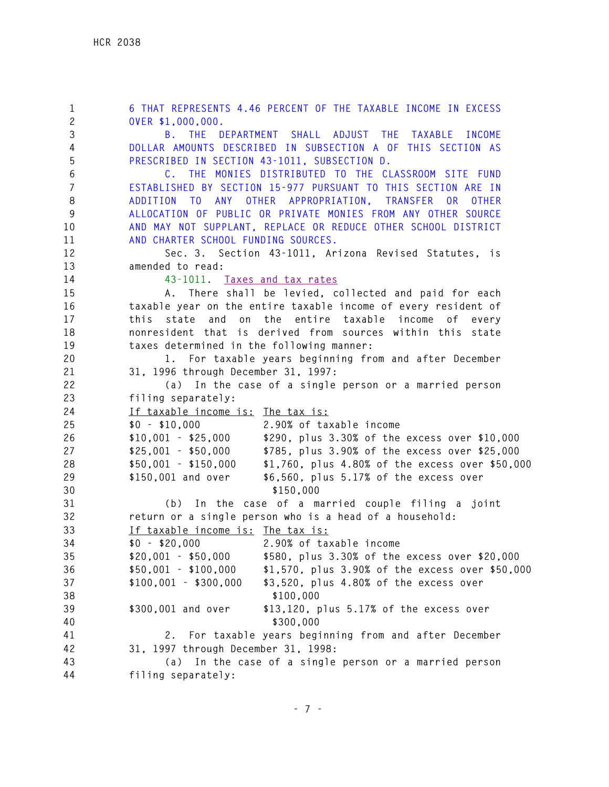**1 6 THAT REPRESENTS 4.46 PERCENT OF THE TAXABLE INCOME IN EXCESS 2 OVER \$1,000,000. 3 B. THE DEPARTMENT SHALL ADJUST THE TAXABLE INCOME 4 DOLLAR AMOUNTS DESCRIBED IN SUBSECTION A OF THIS SECTION AS 5 PRESCRIBED IN SECTION 43-1011, SUBSECTION D. 6 C. THE MONIES DISTRIBUTED TO THE CLASSROOM SITE FUND 7 ESTABLISHED BY SECTION 15-977 PURSUANT TO THIS SECTION ARE IN 8 ADDITION TO ANY OTHER APPROPRIATION, TRANSFER OR OTHER 9 ALLOCATION OF PUBLIC OR PRIVATE MONIES FROM ANY OTHER SOURCE 10 AND MAY NOT SUPPLANT, REPLACE OR REDUCE OTHER SCHOOL DISTRICT 11 AND CHARTER SCHOOL FUNDING SOURCES. 12 Sec. 3. Section 43-1011, Arizona Revised Statutes, is 13 amended to read: 14 43-1011. Taxes and tax rates 15 A. There shall be levied, collected and paid for each 16 taxable year on the entire taxable income of every resident of 17 this state and on the entire taxable income of every 18 nonresident that is derived from sources within this state 19 taxes determined in the following manner: 20 1. For taxable years beginning from and after December 21 31, 1996 through December 31, 1997: 22 (a) In the case of a single person or a married person 23 filing separately: 24 If taxable income is: The tax is: 25 \$0 - \$10,000 2.90% of taxable income 26 \$10,001 - \$25,000 \$290, plus 3.30% of the excess over \$10,000 27 \$25,001 - \$50,000 \$785, plus 3.90% of the excess over \$25,000 28 \$50,001 - \$150,000 \$1,760, plus 4.80% of the excess over \$50,000 29 \$150,001 and over \$6,560, plus 5.17% of the excess over 30 \$150,000 31 (b) In the case of a married couple filing a joint 32 return or a single person who is a head of a household: 33 If taxable income is: The tax is: 34 \$0 - \$20,000 2.90% of taxable income 35 \$20,001 - \$50,000 \$580, plus 3.30% of the excess over \$20,000 36 \$50,001 - \$100,000 \$1,570, plus 3.90% of the excess over \$50,000 37 \$100,001 - \$300,000 \$3,520, plus 4.80% of the excess over 38 \$100,000 39 \$300,001 and over \$13,120, plus 5.17% of the excess over 40 \$300,000 41 2. For taxable years beginning from and after December 42 31, 1997 through December 31, 1998: 43 (a) In the case of a single person or a married person 44 filing separately:**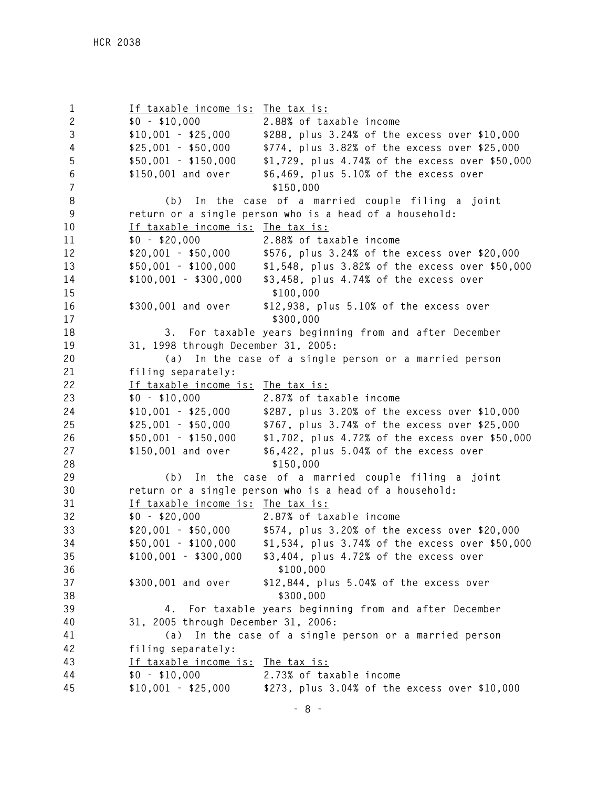**1 If taxable income is: The tax is: 2 \$0 - \$10,000 2.88% of taxable income 3 \$10,001 - \$25,000 \$288, plus 3.24% of the excess over \$10,000 4 \$25,001 - \$50,000 \$774, plus 3.82% of the excess over \$25,000 5 \$50,001 - \$150,000 \$1,729, plus 4.74% of the excess over \$50,000 6 \$150,001 and over \$6,469, plus 5.10% of the excess over 7 \$150,000 8 (b) In the case of a married couple filing a joint 9 return or a single person who is a head of a household: 10 If taxable income is: The tax is: 11 \$0 - \$20,000 2.88% of taxable income 12 \$20,001 - \$50,000 \$576, plus 3.24% of the excess over \$20,000 13 \$50,001 - \$100,000 \$1,548, plus 3.82% of the excess over \$50,000 14 \$100,001 - \$300,000 \$3,458, plus 4.74% of the excess over**  15  $$100,000$ **16 \$300,001 and over \$12,938, plus 5.10% of the excess over**  17  $$300.000$ **18 3. For taxable years beginning from and after December 19 31, 1998 through December 31, 2005: 20 (a) In the case of a single person or a married person 21 filing separately: 22 If taxable income is: The tax is: 23 \$0 - \$10,000 2.87% of taxable income 24 \$10,001 - \$25,000 \$287, plus 3.20% of the excess over \$10,000 25 \$25,001 - \$50,000 \$767, plus 3.74% of the excess over \$25,000 26 \$50,001 - \$150,000 \$1,702, plus 4.72% of the excess over \$50,000 27 \$150,001 and over \$6,422, plus 5.04% of the excess over 28 \$150,000 29 (b) In the case of a married couple filing a joint 30 return or a single person who is a head of a household: 31 If taxable income is: The tax is: 32 \$0 - \$20,000 2.87% of taxable income 33 \$20,001 - \$50,000 \$574, plus 3.20% of the excess over \$20,000 34 \$50,001 - \$100,000 \$1,534, plus 3.74% of the excess over \$50,000 35 \$100,001 - \$300,000 \$3,404, plus 4.72% of the excess over 36 \$100,000 37 \$300,001 and over \$12,844, plus 5.04% of the excess over 38 \$300,000 39 4. For taxable years beginning from and after December 40 31, 2005 through December 31, 2006: 41 (a) In the case of a single person or a married person 42 filing separately: 43 If taxable income is: The tax is: 44 \$0 - \$10,000 2.73% of taxable income 45 \$10,001 - \$25,000 \$273, plus 3.04% of the excess over \$10,000**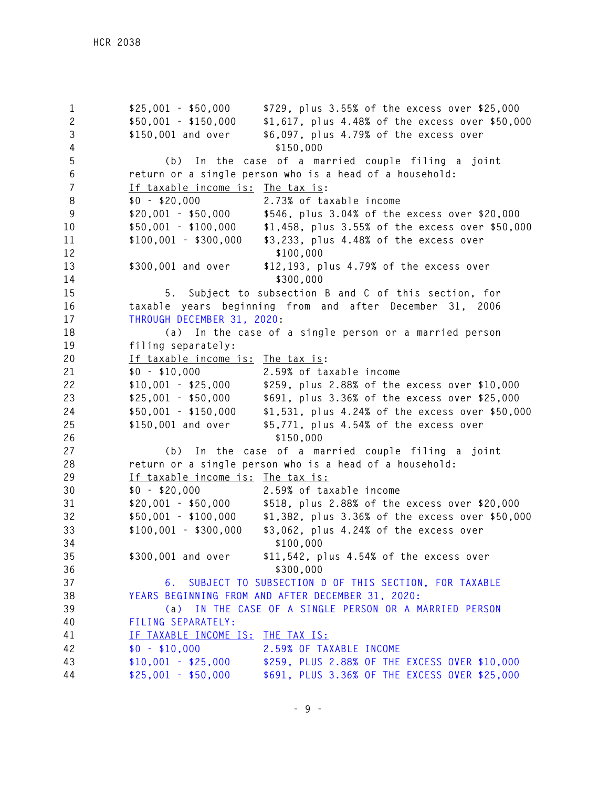**1 \$25,001 - \$50,000 \$729, plus 3.55% of the excess over \$25,000 2 \$50,001 - \$150,000 \$1,617, plus 4.48% of the excess over \$50,000 3 \$150,001 and over \$6,097, plus 4.79% of the excess over 4 \$150,000 5 (b) In the case of a married couple filing a joint 6 return or a single person who is a head of a household: 7 If taxable income is: The tax is: 8 \$0 - \$20,000 2.73% of taxable income 9 \$20,001 - \$50,000 \$546, plus 3.04% of the excess over \$20,000 10 \$50,001 - \$100,000 \$1,458, plus 3.55% of the excess over \$50,000 11 \$100,001 - \$300,000 \$3,233, plus 4.48% of the excess over**  12  $$100,000$ **13 \$300,001 and over \$12,193, plus 4.79% of the excess over**  14  $$300,000$ **15 5. Subject to subsection B and C of this section, for 16 taxable years beginning from and after December 31, 2006 17 THROUGH DECEMBER 31, 2020: 18 (a) In the case of a single person or a married person 19 filing separately: 20 If taxable income is: The tax is: 21 \$0 - \$10,000 2.59% of taxable income 22 \$10,001 - \$25,000 \$259, plus 2.88% of the excess over \$10,000 23 \$25,001 - \$50,000 \$691, plus 3.36% of the excess over \$25,000 24 \$50,001 - \$150,000 \$1,531, plus 4.24% of the excess over \$50,000 25 \$150,001 and over \$5,771, plus 4.54% of the excess over 26 \$150,000 27 (b) In the case of a married couple filing a joint 28 return or a single person who is a head of a household: 29 If taxable income is: The tax is: 30 \$0 - \$20,000 2.59% of taxable income 31 \$20,001 - \$50,000 \$518, plus 2.88% of the excess over \$20,000 32 \$50,001 - \$100,000 \$1,382, plus 3.36% of the excess over \$50,000 33 \$100,001 - \$300,000 \$3,062, plus 4.24% of the excess over 34 \$100,000 35 \$300,001 and over \$11,542, plus 4.54% of the excess over 36 \$300,000 37 6. SUBJECT TO SUBSECTION D OF THIS SECTION, FOR TAXABLE 38 YEARS BEGINNING FROM AND AFTER DECEMBER 31, 2020: 39 (a) IN THE CASE OF A SINGLE PERSON OR A MARRIED PERSON 40 FILING SEPARATELY: 41 IF TAXABLE INCOME IS: THE TAX IS: 42 \$0 - \$10,000 2.59% OF TAXABLE INCOME 43 \$10,001 - \$25,000 \$259, PLUS 2.88% OF THE EXCESS OVER \$10,000 44 \$25,001 - \$50,000 \$691, PLUS 3.36% OF THE EXCESS OVER \$25,000**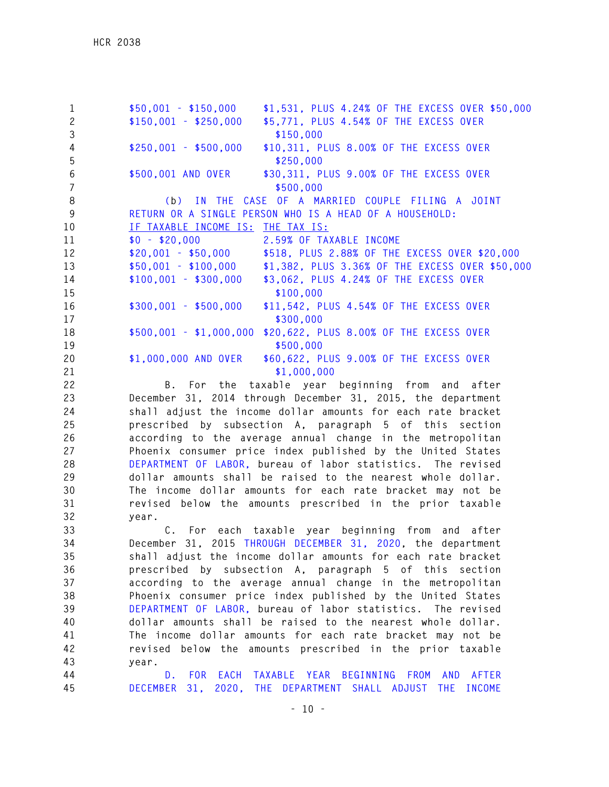**1 \$50,001 - \$150,000 \$1,531, PLUS 4.24% OF THE EXCESS OVER \$50,000 2 \$150,001 - \$250,000 \$5,771, PLUS 4.54% OF THE EXCESS OVER 3 \$150,000 4 \$250,001 - \$500,000 \$10,311, PLUS 8.00% OF THE EXCESS OVER 5 \$250,000 6 \$500,001 AND OVER \$30,311, PLUS 9.00% OF THE EXCESS OVER 7 \$500,000 8 (b) IN THE CASE OF A MARRIED COUPLE FILING A JOINT 9 RETURN OR A SINGLE PERSON WHO IS A HEAD OF A HOUSEHOLD: 10 IF TAXABLE INCOME IS: THE TAX IS: 11 \$0 - \$20,000 2.59% OF TAXABLE INCOME 12 \$20,001 - \$50,000 \$518, PLUS 2.88% OF THE EXCESS OVER \$20,000 13 \$50,001 - \$100,000 \$1,382, PLUS 3.36% OF THE EXCESS OVER \$50,000 14 \$100,001 - \$300,000 \$3,062, PLUS 4.24% OF THE EXCESS OVER**  15  $$100.000$ **16 \$300,001 - \$500,000 \$11,542, PLUS 4.54% OF THE EXCESS OVER**  17  $$300.000$ **18 \$500,001 - \$1,000,000 \$20,622, PLUS 8.00% OF THE EXCESS OVER**  19  $$500,000$ **20 \$1,000,000 AND OVER \$60,622, PLUS 9.00% OF THE EXCESS OVER 21 \$1,000,000** 

**22 B. For the taxable year beginning from and after 23 December 31, 2014 through December 31, 2015, the department 24 shall adjust the income dollar amounts for each rate bracket 25 prescribed by subsection A, paragraph 5 of this section 26 according to the average annual change in the metropolitan 27 Phoenix consumer price index published by the United States 28 DEPARTMENT OF LABOR, bureau of labor statistics. The revised 29 dollar amounts shall be raised to the nearest whole dollar. 30 The income dollar amounts for each rate bracket may not be 31 revised below the amounts prescribed in the prior taxable 32 year.** 

**33 C. For each taxable year beginning from and after 34 December 31, 2015 THROUGH DECEMBER 31, 2020, the department 35 shall adjust the income dollar amounts for each rate bracket 36 prescribed by subsection A, paragraph 5 of this section 37 according to the average annual change in the metropolitan 38 Phoenix consumer price index published by the United States 39 DEPARTMENT OF LABOR, bureau of labor statistics. The revised 40 dollar amounts shall be raised to the nearest whole dollar. 41 The income dollar amounts for each rate bracket may not be 42 revised below the amounts prescribed in the prior taxable 43 year.** 

**44 D. FOR EACH TAXABLE YEAR BEGINNING FROM AND AFTER 45 DECEMBER 31, 2020, THE DEPARTMENT SHALL ADJUST THE INCOME**